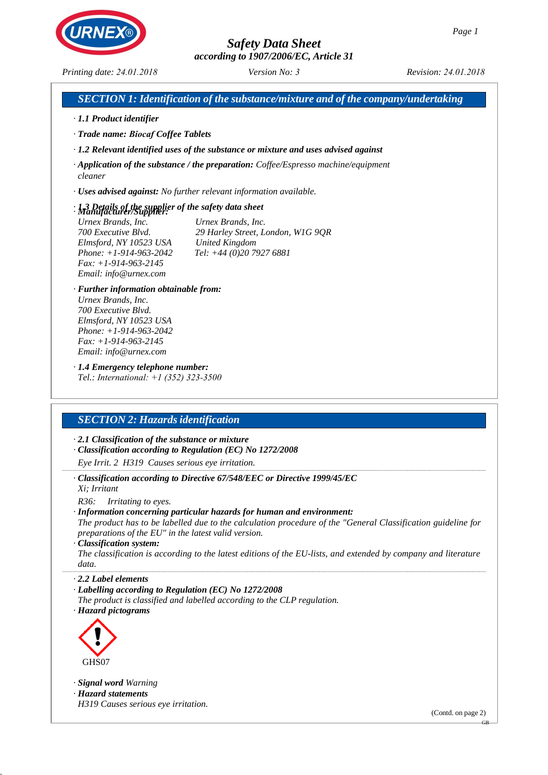*according to 1907/2006/EC, Article 31*

*Printing date: 24.01.2018*

*Version No: 3 Revision: 24.01.2018*

|                                                                                                                                                                                                                                                | SECTION 1: Identification of the substance/mixture and of the company/undertaking                                                                                                                                                                                                                        |
|------------------------------------------------------------------------------------------------------------------------------------------------------------------------------------------------------------------------------------------------|----------------------------------------------------------------------------------------------------------------------------------------------------------------------------------------------------------------------------------------------------------------------------------------------------------|
| · 1.1 Product identifier                                                                                                                                                                                                                       |                                                                                                                                                                                                                                                                                                          |
| · Trade name: Biocaf Coffee Tablets                                                                                                                                                                                                            |                                                                                                                                                                                                                                                                                                          |
|                                                                                                                                                                                                                                                | $\cdot$ 1.2 Relevant identified uses of the substance or mixture and uses advised against                                                                                                                                                                                                                |
| cleaner                                                                                                                                                                                                                                        | $\cdot$ Application of the substance / the preparation: Coffee/Espresso machine/equipment                                                                                                                                                                                                                |
|                                                                                                                                                                                                                                                | · Uses advised against: No further relevant information available.                                                                                                                                                                                                                                       |
| $\cdot$ 1.3 Details of the supplier of the safety data sheet<br>· Manufacturer/Supplier:<br>Urnex Brands, Inc.<br>700 Executive Blvd.<br>Elmsford, NY 10523 USA<br>Phone: $+1-914-963-2042$<br>$Fax: +1-914-963-2145$<br>Email: info@urnex.com | Urnex Brands, Inc.<br>2 <b>BRANQ</b><br>(MOPHIHMQV<br>17HO                                                                                                                                                                                                                                               |
| · Further information obtainable from:<br>Urnex Brands, Inc.<br>700 Executive Blvd.<br>Elmsford, NY 10523 USA<br>Phone: $+1-914-963-2042$<br>$Fax: +1-914-963-2145$<br>Email: info@urnex.com                                                   |                                                                                                                                                                                                                                                                                                          |
| Tel.: International: $+1$ (352) 323-3500<br><b>SECTION 2: Hazards identification</b>                                                                                                                                                           |                                                                                                                                                                                                                                                                                                          |
|                                                                                                                                                                                                                                                |                                                                                                                                                                                                                                                                                                          |
| $\cdot$ 2.1 Classification of the substance or mixture                                                                                                                                                                                         | · Classification according to Regulation (EC) No 1272/2008                                                                                                                                                                                                                                               |
| Eye Irrit. 2 H319 Causes serious eye irritation.                                                                                                                                                                                               |                                                                                                                                                                                                                                                                                                          |
| Xi: Irritant                                                                                                                                                                                                                                   | · Classification according to Directive 67/548/EEC or Directive 1999/45/EC                                                                                                                                                                                                                               |
| R36:<br><i>Irritating to eyes.</i><br>preparations of the EU" in the latest valid version.<br>· Classification system:<br>data.                                                                                                                | · Information concerning particular hazards for human and environment:<br>The product has to be labelled due to the calculation procedure of the "General Classification guideline for<br>The classification is according to the latest editions of the EU-lists, and extended by company and literature |
| $\cdot$ 2.2 Label elements<br>· Labelling according to Regulation (EC) No 1272/2008<br>· Hazard pictograms                                                                                                                                     | The product is classified and labelled according to the CLP regulation.                                                                                                                                                                                                                                  |

*· Signal word Warning · Hazard statements H319 Causes serious eye irritation.*

(Contd. on page 2)

GB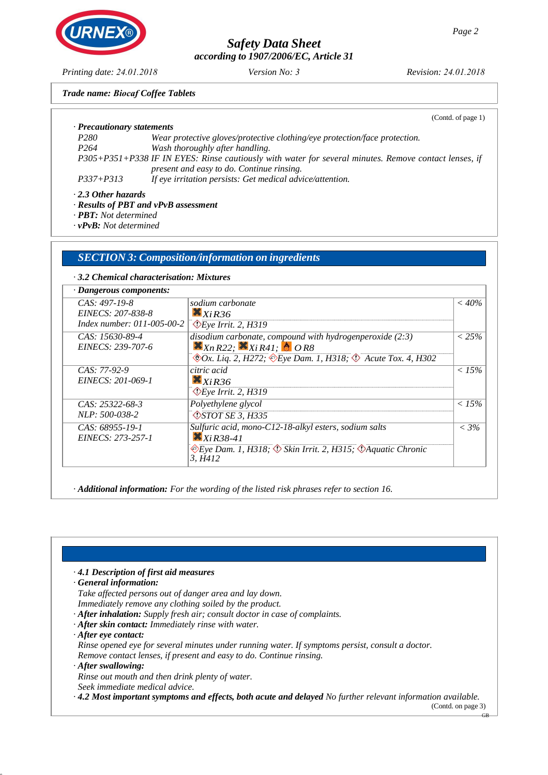*according to 1907/2006/EC, Article 31*

*Version No: 3 Revision: 24.01.2018*

*Trade name: Biocaf Coffee Tablets*

|                            | (Contd. of page 1)                                                                                                                                  |
|----------------------------|-----------------------------------------------------------------------------------------------------------------------------------------------------|
| · Precautionary statements |                                                                                                                                                     |
| P280                       | Wear protective gloves/protective clothing/eye protection/face protection.                                                                          |
| P <sub>264</sub>           | Wash thoroughly after handling.                                                                                                                     |
|                            | P305+P351+P338 IF IN EYES: Rinse cautiously with water for several minutes. Remove contact lenses, if<br>present and easy to do. Continue rinsing.  |
| $P337 + P313$              | If eye irritation persists: Get medical advice/attention.                                                                                           |
| $\cdot$ 2.3 Other hazards  | $\mathbf{n}$ <i>t, c</i> $\mathbf{n}$ <i>n</i> $\mathbf{n}$ <i>x</i> $\mathbf{n}$ <i>x</i> $\mathbf{n}$ <i>x</i> $\mathbf{n}$ <i>x</i> $\mathbf{n}$ |

*· Results of PBT and vPvB assessment*

*· PBT: Not determined*

*· vPvB: Not determined*

## *SECTION 3: Composition/information on ingredients*

### *· 3.2 Chemical characterisation: Mixtures*

| · Dangerous components:            |                                                                                         |          |
|------------------------------------|-----------------------------------------------------------------------------------------|----------|
| $CAS: 497-19-8$                    | sodium carbonate                                                                        | $<$ 40%  |
| EINECS: 207-838-8                  | $X_{XiR36}$                                                                             |          |
| Index number: $011 - 005 - 00 - 2$ | $\Diamond$ Eye Irrit. 2, H319                                                           |          |
| CAS: 15630-89-4                    | disodium carbonate, compound with hydrogenperoxide (2:3)                                | $< 25\%$ |
| EINECS: 239-707-6                  | $\mathbf{x}_{NR22}$ ; $\mathbf{x}_{R41}$ ; $\mathbf{b}_{OR8}$                           |          |
|                                    | $\otimes$ Ox. Lig. 2, H272; $\otimes$ Eye Dam. 1, H318; $\otimes$ Acute Tox. 4, H302    |          |
| $CAS: 77-92-9$                     | citric acid                                                                             | $< 15\%$ |
| EINECS: 201-069-1                  | $X_{XiR36}$                                                                             |          |
|                                    | $\Diamond$ Eye Irrit. 2, H319                                                           |          |
| $CAS: 25322-68-3$                  | Polyethylene glycol                                                                     | $< 15\%$ |
| <i>NLP: 500-038-2</i>              | $\sqrt{\frac{3570T}{5}}$ SE 3, H335                                                     |          |
| $CAS: 68955-19-1$                  | Sulfuric acid, mono-C12-18-alkyl esters, sodium salts                                   | $< 3\%$  |
| EINECS: 273-257-1                  | $XiR38-41$                                                                              |          |
|                                    | $\Diamond$ Eye Dam. 1, H318; $\Diamond$ Skin Irrit. 2, H315; $\Diamond$ Aquatic Chronic |          |
|                                    | 3. H412                                                                                 |          |

*· Additional information: For the wording of the listed risk phrases refer to section 16.*

| $\cdot$ 4.1 Description of first aid measures                                                                                            |
|------------------------------------------------------------------------------------------------------------------------------------------|
| General information:                                                                                                                     |
| Take affected persons out of danger area and lay down.                                                                                   |
| Immediately remove any clothing soiled by the product.                                                                                   |
| · After inhalation: Supply fresh air; consult doctor in case of complaints.                                                              |
| · After skin contact: Immediately rinse with water.                                                                                      |
| $\cdot$ After eve contact:                                                                                                               |
| Rinse opened eye for several minutes under running water. If symptoms persist, consult a doctor.                                         |
| Remove contact lenses, if present and easy to do. Continue rinsing.                                                                      |
| $\cdot$ After swallowing:                                                                                                                |
| Rinse out mouth and then drink plenty of water.                                                                                          |
| Seek immediate medical advice.                                                                                                           |
| $\cdot$ 4.2 Most important symptoms and effects, both acute and delayed No further relevant information available.<br>(Contd. on page 3) |

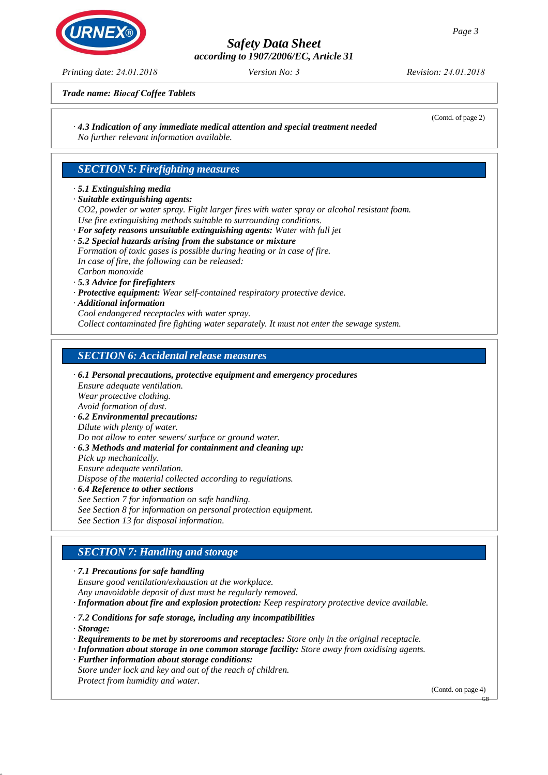*according to 1907/2006/EC, Article 31*

*Version No: 3 Revision: 24.01.2018*

*Trade name: Biocaf Coffee Tablets*

*· 4.3 Indication of any immediate medical attention and special treatment needed No further relevant information available.*

## *SECTION 5: Firefighting measures*

### *· 5.1 Extinguishing media*

*· Suitable extinguishing agents:*

*CO2, powder or water spray. Fight larger fires with water spray or alcohol resistant foam. Use fire extinguishing methods suitable to surrounding conditions.*

- *· For safety reasons unsuitable extinguishing agents: Water with full jet · 5.2 Special hazards arising from the substance or mixture Formation of toxic gases is possible during heating or in case of fire.*
- *In case of fire, the following can be released: Carbon monoxide*
- *· 5.3 Advice for firefighters*
- *· Protective equipment: Wear self-contained respiratory protective device.*
- *· Additional information*
- *Cool endangered receptacles with water spray.*

*Collect contaminated fire fighting water separately. It must not enter the sewage system.*

## *SECTION 6: Accidental release measures*

- *· 6.1 Personal precautions, protective equipment and emergency procedures Ensure adequate ventilation. Wear protective clothing. Avoid formation of dust. · 6.2 Environmental precautions: Dilute with plenty of water.*
- *Do not allow to enter sewers/ surface or ground water.*
- *· 6.3 Methods and material for containment and cleaning up: Pick up mechanically. Ensure adequate ventilation. Dispose of the material collected according to regulations.*
- *· 6.4 Reference to other sections See Section 7 for information on safe handling. See Section 8 for information on personal protection equipment. See Section 13 for disposal information.*

## *SECTION 7: Handling and storage*

*· 7.1 Precautions for safe handling*

*Ensure good ventilation/exhaustion at the workplace. Any unavoidable deposit of dust must be regularly removed.*

- *· Information about fire and explosion protection: Keep respiratory protective device available.*
- *· 7.2 Conditions for safe storage, including any incompatibilities*
- *· Storage:*
- *· Requirements to be met by storerooms and receptacles: Store only in the original receptacle.*
- *· Information about storage in one common storage facility: Store away from oxidising agents.*
- *· Further information about storage conditions: Store under lock and key and out of the reach of children.*
- *Protect from humidity and water.*

(Contd. on page 4)



*Printing date: 24.01.2018*

(Contd. of page 2)

GB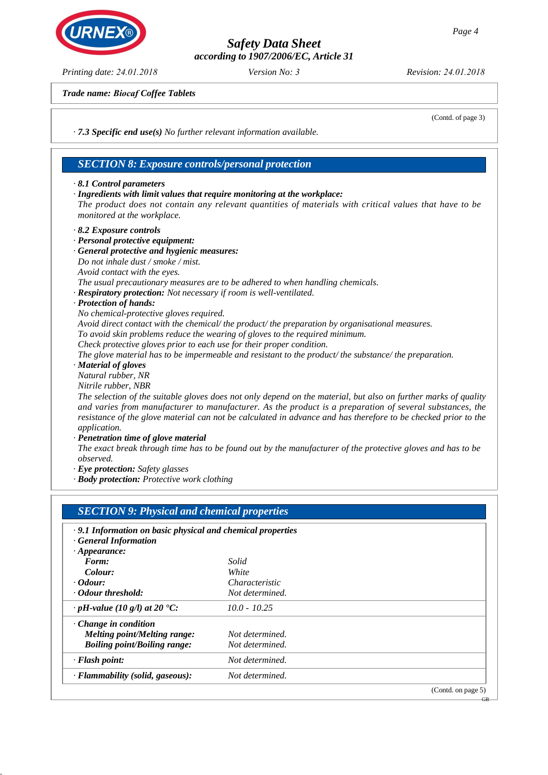*according to 1907/2006/EC, Article 31*

*Version No: 3 Revision: 24.01.2018*

(Contd. of page 3)

*Trade name: Biocaf Coffee Tablets*

*· 7.3 Specific end use(s) No further relevant information available.*

### *SECTION 8: Exposure controls/personal protection*

### *· 8.1 Control parameters*

*· Ingredients with limit values that require monitoring at the workplace:*

*The product does not contain any relevant quantities of materials with critical values that have to be monitored at the workplace.*

*· 8.2 Exposure controls*

### *· Personal protective equipment:*

- *· General protective and hygienic measures:*
- *Do not inhale dust / smoke / mist.*

*Avoid contact with the eyes.*

*The usual precautionary measures are to be adhered to when handling chemicals.*

*· Respiratory protection: Not necessary if room is well-ventilated.*

*· Protection of hands:*

*No chemical-protective gloves required.*

*Avoid direct contact with the chemical/ the product/ the preparation by organisational measures.*

*To avoid skin problems reduce the wearing of gloves to the required minimum.*

*Check protective gloves prior to each use for their proper condition.*

*The glove material has to be impermeable and resistant to the product/ the substance/ the preparation.*

*· Material of gloves*

*Natural rubber, NR*

*Nitrile rubber, NBR*

*The selection of the suitable gloves does not only depend on the material, but also on further marks of quality and varies from manufacturer to manufacturer. As the product is a preparation of several substances, the resistance of the glove material can not be calculated in advance and has therefore to be checked prior to the application.*

*· Penetration time of glove material*

*The exact break through time has to be found out by the manufacturer of the protective gloves and has to be observed.*

*· Eye protection: Safety glasses*

*· Body protection: Protective work clothing*

| <b>SECTION 9: Physical and chemical properties</b>         |                       |                    |
|------------------------------------------------------------|-----------------------|--------------------|
| .9.1 Information on basic physical and chemical properties |                       |                    |
| <b>General Information</b>                                 |                       |                    |
| $\cdot$ Appearance:                                        |                       |                    |
| Form:                                                      | Solid                 |                    |
| Colour:                                                    | White                 |                    |
| $\cdot$ Odour:                                             | <i>Characteristic</i> |                    |
| Odour threshold:                                           | Not determined.       |                    |
| $\cdot$ pH-value (10 g/l) at 20 °C:                        | $10.0 - 10.25$        |                    |
| $\cdot$ Change in condition                                |                       |                    |
| Melting point/Melting range:                               | Not determined.       |                    |
| <b>Boiling point/Boiling range:</b>                        | Not determined.       |                    |
| · Flash point:                                             | Not determined.       |                    |
| · Flammability (solid, gaseous):                           | Not determined.       |                    |
|                                                            |                       | (Contd. on page 5) |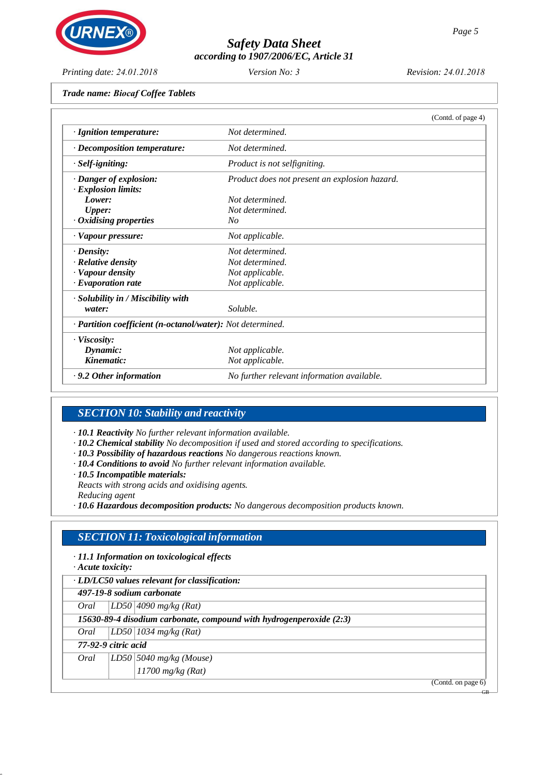## *Safety Data Sheet according to 1907/2006/EC, Article 31*

*Printing date: 24.01.2018*

*Version No: 3 Revision: 24.01.2018*

*Trade name: Biocaf Coffee Tablets*

|                                                            | (Contd. of page 4)                            |  |
|------------------------------------------------------------|-----------------------------------------------|--|
| · Ignition temperature:                                    | Not determined.                               |  |
| · Decomposition temperature:                               | Not determined.                               |  |
| · Self-igniting:                                           | Product is not selfigniting.                  |  |
| · Danger of explosion:                                     | Product does not present an explosion hazard. |  |
| $\cdot$ Explosion limits:                                  |                                               |  |
| Lower:                                                     | Not determined.                               |  |
| <b>Upper:</b>                                              | Not determined.                               |  |
| $\cdot$ Oxidising properties                               | No                                            |  |
| · Vapour pressure:                                         | Not applicable.                               |  |
| $\cdot$ Density:                                           | Not determined.                               |  |
| · Relative density                                         | Not determined.                               |  |
| · Vapour density                                           | Not applicable.                               |  |
| $\cdot$ Evaporation rate                                   | Not applicable.                               |  |
| · Solubility in / Miscibility with                         |                                               |  |
| water:                                                     | Soluble.                                      |  |
| · Partition coefficient (n-octanol/water): Not determined. |                                               |  |
| $\cdot$ Viscosity:                                         |                                               |  |
| Dynamic:                                                   | Not applicable.                               |  |
| Kinematic:                                                 | Not applicable.                               |  |
| $\cdot$ 9.2 Other information                              | No further relevant information available.    |  |

## *SECTION 10: Stability and reactivity*

*· 10.1 Reactivity No further relevant information available.*

- *· 10.2 Chemical stability No decomposition if used and stored according to specifications.*
- *· 10.3 Possibility of hazardous reactions No dangerous reactions known.*
- *· 10.4 Conditions to avoid No further relevant information available.*
- *· 10.5 Incompatible materials:*

*Reacts with strong acids and oxidising agents.*

*Reducing agent*

*· 10.6 Hazardous decomposition products: No dangerous decomposition products known.*

## *SECTION 11: Toxicological information*

*· 11.1 Information on toxicological effects*

*· Acute toxicity:*

*· LD/LC50 values relevant for classification:*

*497-19-8 sodium carbonate*

*Oral LD50 4090 mg/kg (Rat)*

*15630-89-4 disodium carbonate, compound with hydrogenperoxide (2:3)*

*Oral LD50 1034 mg/kg (Rat)*

*77-92-9 citric acid*

*Oral LD50 5040 mg/kg (Mouse) 11700 mg/kg (Rat)*

(Contd. on page 6)

GB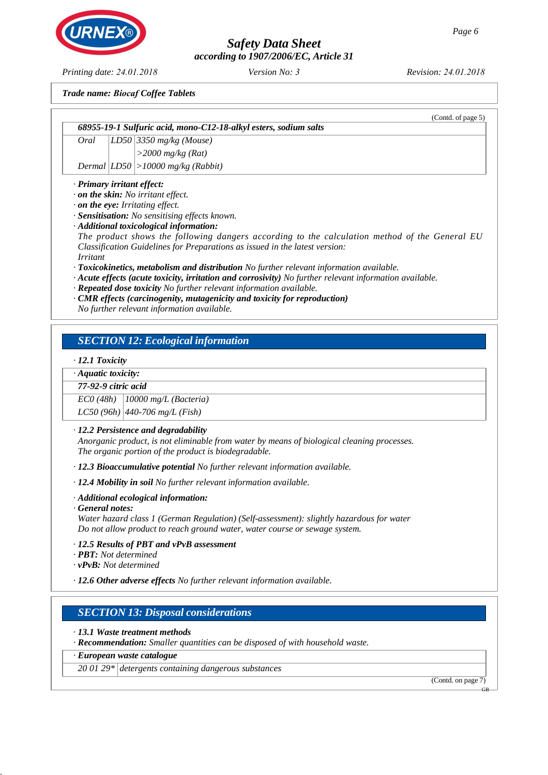*according to 1907/2006/EC, Article 31*

*Version No: 3 Revision: 24.01.2018*

*Trade name: Biocaf Coffee Tablets*

*68955-19-1 Sulfuric acid, mono-C12-18-alkyl esters, sodium salts*

*Oral LD50 3350 mg/kg (Mouse) >2000 mg/kg (Rat)*

*Dermal LD50 >10000 mg/kg (Rabbit)*

### *· Primary irritant effect:*

- *· on the skin: No irritant effect.*
- *· on the eye: Irritating effect.*
- *· Sensitisation: No sensitising effects known.*
- *· Additional toxicological information:*

*The product shows the following dangers according to the calculation method of the General EU Classification Guidelines for Preparations as issued in the latest version: Irritant*

*· Toxicokinetics, metabolism and distribution No further relevant information available.*

- *· Acute effects (acute toxicity, irritation and corrosivity) No further relevant information available.*
- *· Repeated dose toxicity No further relevant information available.*
- *· CMR effects (carcinogenity, mutagenicity and toxicity for reproduction)*

*No further relevant information available.*

## *SECTION 12: Ecological information*

### *· 12.1 Toxicity*

*· Aquatic toxicity:*

### *77-92-9 citric acid*

*EC0 (48h) 10000 mg/L (Bacteria)* 

*LC50 (96h) 440-706 mg/L (Fish)*

### *· 12.2 Persistence and degradability*

*Anorganic product, is not eliminable from water by means of biological cleaning processes. The organic portion of the product is biodegradable.*

*· 12.3 Bioaccumulative potential No further relevant information available.*

*· 12.4 Mobility in soil No further relevant information available.*

*· Additional ecological information:*

*· General notes:*

*Water hazard class 1 (German Regulation) (Self-assessment): slightly hazardous for water Do not allow product to reach ground water, water course or sewage system.*

- *· 12.5 Results of PBT and vPvB assessment*
- *· PBT: Not determined*
- *· vPvB: Not determined*

*· 12.6 Other adverse effects No further relevant information available.*

## *SECTION 13: Disposal considerations*

*· 13.1 Waste treatment methods*

*· Recommendation: Smaller quantities can be disposed of with household waste.*

*· European waste catalogue*

*20 01 29\* detergents containing dangerous substances*

(Contd. on page 7)

GB



*Printing date: 24.01.2018*

(Contd. of page 5)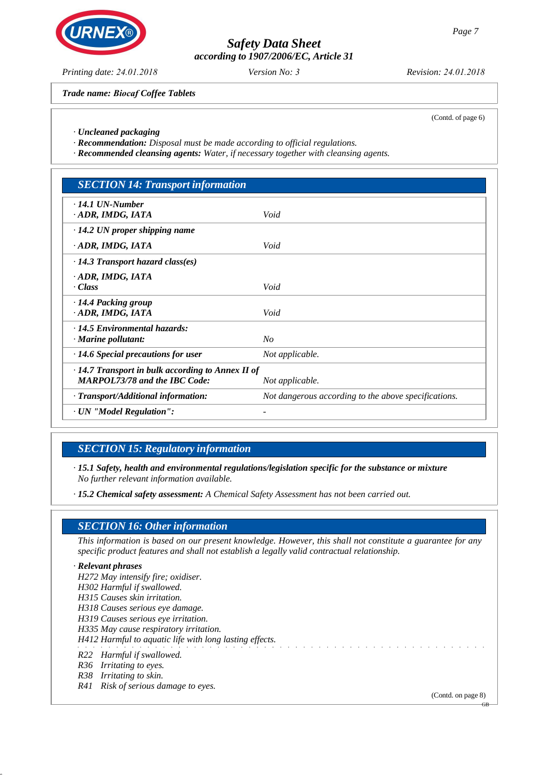## *Safety Data Sheet according to 1907/2006/EC, Article 31*

*Version No: 3 Revision: 24.01.2018*

*Trade name: Biocaf Coffee Tablets*

(Contd. of page 6)

*· Uncleaned packaging*

*· Recommendation: Disposal must be made according to official regulations.*

*· Recommended cleansing agents: Water, if necessary together with cleansing agents.*

| <b>SECTION 14: Transport information</b>                                                        |                                                      |
|-------------------------------------------------------------------------------------------------|------------------------------------------------------|
| $\cdot$ 14.1 UN-Number<br>· ADR, IMDG, IATA                                                     | Void                                                 |
| $\cdot$ 14.2 UN proper shipping name                                                            |                                                      |
| · ADR, IMDG, IATA                                                                               | Void                                                 |
| $\cdot$ 14.3 Transport hazard class(es)                                                         |                                                      |
| · ADR, IMDG, IATA<br>· Class                                                                    | Void                                                 |
| · 14.4 Packing group<br>· ADR, IMDG, IATA                                                       | Void                                                 |
| $\cdot$ 14.5 Environmental hazards:<br>$\cdot$ Marine pollutant:                                | N <sub>O</sub>                                       |
| $\cdot$ 14.6 Special precautions for user                                                       | Not applicable.                                      |
| $\cdot$ 14.7 Transport in bulk according to Annex II of<br><b>MARPOL73/78 and the IBC Code:</b> | Not applicable.                                      |
| · Transport/Additional information:                                                             | Not dangerous according to the above specifications. |
| · UN "Model Regulation":                                                                        |                                                      |

## *SECTION 15: Regulatory information*

*· 15.1 Safety, health and environmental regulations/legislation specific for the substance or mixture No further relevant information available.*

*· 15.2 Chemical safety assessment: A Chemical Safety Assessment has not been carried out.*

### *SECTION 16: Other information*

*This information is based on our present knowledge. However, this shall not constitute a guarantee for any specific product features and shall not establish a legally valid contractual relationship.*

#### *· Relevant phrases*

*H272 May intensify fire; oxidiser. H302 Harmful if swallowed. H315 Causes skin irritation. H318 Causes serious eye damage. H319 Causes serious eye irritation. H335 May cause respiratory irritation. H412 Harmful to aquatic life with long lasting effects. R22 Harmful if swallowed. R36 Irritating to eyes. R38 Irritating to skin.*

*R41 Risk of serious damage to eyes.*

(Contd. on page 8)

GB